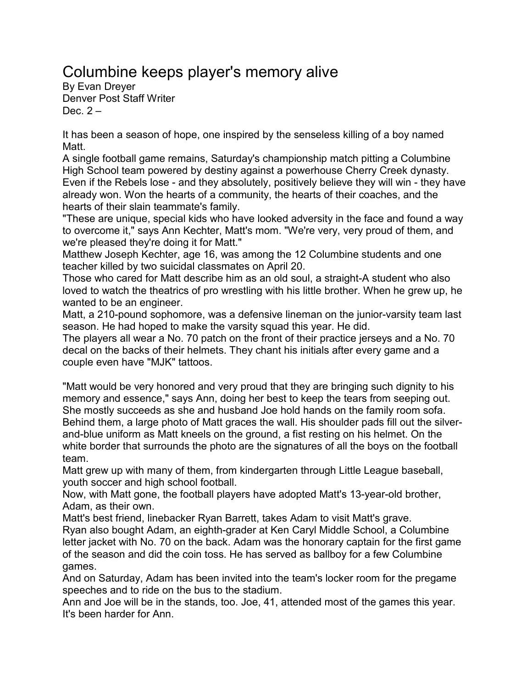## Columbine keeps player's memory alive

By [Evan Dreyer](mailto:sports@denverpost.com) Denver Post Staff Writer Dec.  $2 -$ 

It has been a season of hope, one inspired by the senseless killing of a boy named Matt.

A single football game remains, Saturday's championship match pitting a Columbine High School team powered by destiny against a powerhouse Cherry Creek dynasty. Even if the Rebels lose - and they absolutely, positively believe they will win - they have already won. Won the hearts of a community, the hearts of their coaches, and the hearts of their slain teammate's family.

"These are unique, special kids who have looked adversity in the face and found a way to overcome it," says Ann Kechter, Matt's mom. "We're very, very proud of them, and we're pleased they're doing it for Matt."

Matthew Joseph Kechter, age 16, was among the 12 Columbine students and one teacher killed by two suicidal classmates on April 20.

Those who cared for Matt describe him as an old soul, a straight-A student who also loved to watch the theatrics of pro wrestling with his little brother. When he grew up, he wanted to be an engineer.

Matt, a 210-pound sophomore, was a defensive lineman on the junior-varsity team last season. He had hoped to make the varsity squad this year. He did.

The players all wear a No. 70 patch on the front of their practice jerseys and a No. 70 decal on the backs of their helmets. They chant his initials after every game and a couple even have "MJK" tattoos.

"Matt would be very honored and very proud that they are bringing such dignity to his memory and essence," says Ann, doing her best to keep the tears from seeping out. She mostly succeeds as she and husband Joe hold hands on the family room sofa. Behind them, a large photo of Matt graces the wall. His shoulder pads fill out the silverand-blue uniform as Matt kneels on the ground, a fist resting on his helmet. On the white border that surrounds the photo are the signatures of all the boys on the football team.

Matt grew up with many of them, from kindergarten through Little League baseball, youth soccer and high school football.

Now, with Matt gone, the football players have adopted Matt's 13-year-old brother, Adam, as their own.

Matt's best friend, linebacker Ryan Barrett, takes Adam to visit Matt's grave.

Ryan also bought Adam, an eighth-grader at Ken Caryl Middle School, a Columbine letter jacket with No. 70 on the back. Adam was the honorary captain for the first game of the season and did the coin toss. He has served as ballboy for a few Columbine games.

And on Saturday, Adam has been invited into the team's locker room for the pregame speeches and to ride on the bus to the stadium.

Ann and Joe will be in the stands, too. Joe, 41, attended most of the games this year. It's been harder for Ann.